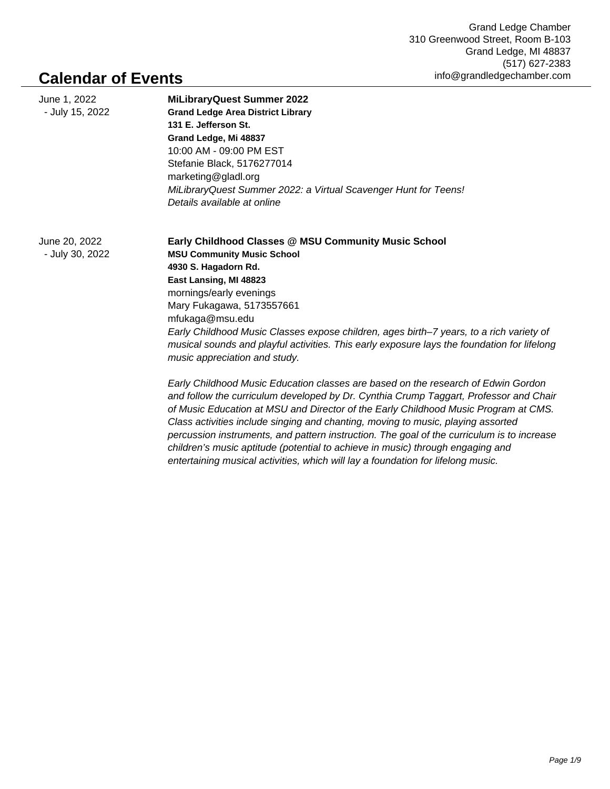## **Calendar of Events**

| June 1, 2022<br>- July 15, 2022 | <b>MiLibraryQuest Summer 2022</b><br><b>Grand Ledge Area District Library</b><br>131 E. Jefferson St.<br>Grand Ledge, Mi 48837<br>10:00 AM - 09:00 PM EST<br>Stefanie Black, 5176277014<br>marketing@gladl.org          |
|---------------------------------|-------------------------------------------------------------------------------------------------------------------------------------------------------------------------------------------------------------------------|
|                                 | MiLibraryQuest Summer 2022: a Virtual Scavenger Hunt for Teens!<br>Details available at online                                                                                                                          |
| June 20, 2022                   | Early Childhood Classes @ MSU Community Music School                                                                                                                                                                    |
| - July 30, 2022                 | <b>MSU Community Music School</b>                                                                                                                                                                                       |
|                                 | 4930 S. Hagadorn Rd.                                                                                                                                                                                                    |
|                                 | East Lansing, MI 48823                                                                                                                                                                                                  |
|                                 | mornings/early evenings<br>Mary Fukagawa, 5173557661                                                                                                                                                                    |
|                                 | mfukaga@msu.edu                                                                                                                                                                                                         |
|                                 | Early Childhood Music Classes expose children, ages birth-7 years, to a rich variety of<br>musical sounds and playful activities. This early exposure lays the foundation for lifelong<br>music appreciation and study. |
|                                 | Early Childhood Music Education classes are based on the research of Edwin Gordon                                                                                                                                       |
|                                 | and follow the curriculum developed by Dr. Cynthia Crump Taggart, Professor and Chair<br>of Music Education at MSU and Director of the Early Childhood Music Program at CMS.                                            |
|                                 | Class activities include singing and chanting, moving to music, playing assorted                                                                                                                                        |
|                                 | percussion instruments, and pattern instruction. The goal of the curriculum is to increase                                                                                                                              |

children's music aptitude (potential to achieve in music) through engaging and entertaining musical activities, which will lay a foundation for lifelong music.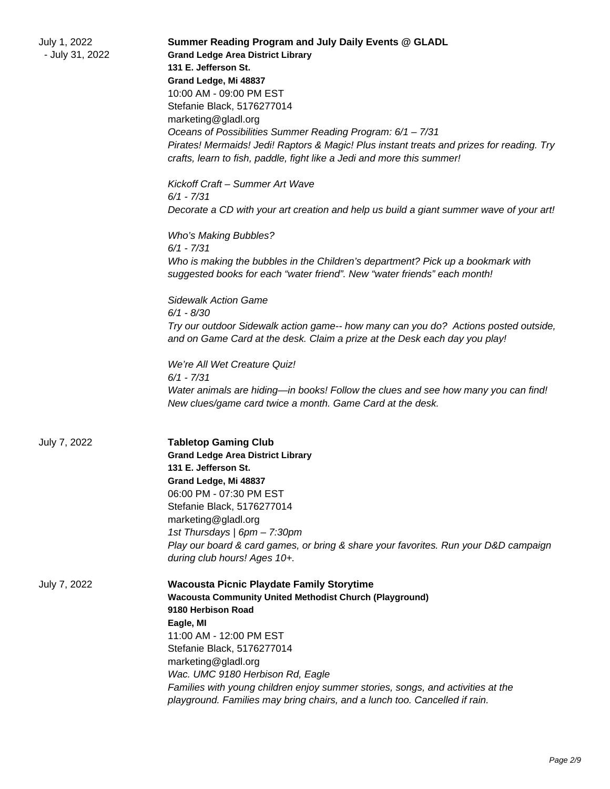| July 1, 2022<br>- July 31, 2022 | Summer Reading Program and July Daily Events @ GLADL<br><b>Grand Ledge Area District Library</b><br>131 E. Jefferson St.<br>Grand Ledge, Mi 48837<br>10:00 AM - 09:00 PM EST<br>Stefanie Black, 5176277014<br>marketing@gladl.org<br>Oceans of Possibilities Summer Reading Program: 6/1 - 7/31<br>Pirates! Mermaids! Jedi! Raptors & Magic! Plus instant treats and prizes for reading. Try<br>crafts, learn to fish, paddle, fight like a Jedi and more this summer!<br>Kickoff Craft - Summer Art Wave<br>$6/1 - 7/31$ |
|---------------------------------|---------------------------------------------------------------------------------------------------------------------------------------------------------------------------------------------------------------------------------------------------------------------------------------------------------------------------------------------------------------------------------------------------------------------------------------------------------------------------------------------------------------------------|
|                                 | Decorate a CD with your art creation and help us build a giant summer wave of your art!<br><b>Who's Making Bubbles?</b><br>$6/1 - 7/31$<br>Who is making the bubbles in the Children's department? Pick up a bookmark with<br>suggested books for each "water friend". New "water friends" each month!                                                                                                                                                                                                                    |
|                                 | <b>Sidewalk Action Game</b><br>$6/1 - 8/30$<br>Try our outdoor Sidewalk action game-- how many can you do? Actions posted outside,<br>and on Game Card at the desk. Claim a prize at the Desk each day you play!<br>We're All Wet Creature Quiz!<br>$6/1 - 7/31$<br>Water animals are hiding—in books! Follow the clues and see how many you can find!<br>New clues/game card twice a month. Game Card at the desk.                                                                                                       |
| July 7, 2022                    | <b>Tabletop Gaming Club</b><br><b>Grand Ledge Area District Library</b><br>131 E. Jefferson St.<br>Grand Ledge, Mi 48837<br>06:00 PM - 07:30 PM EST<br>Stefanie Black, 5176277014<br>marketing@gladl.org<br>1st Thursdays   6pm - 7:30pm<br>Play our board & card games, or bring & share your favorites. Run your D&D campaign<br>during club hours! Ages 10+.                                                                                                                                                           |
| July 7, 2022                    | <b>Wacousta Picnic Playdate Family Storytime</b><br><b>Wacousta Community United Methodist Church (Playground)</b><br>9180 Herbison Road<br>Eagle, MI<br>11:00 AM - 12:00 PM EST<br>Stefanie Black, 5176277014<br>marketing@gladl.org<br>Wac. UMC 9180 Herbison Rd, Eagle<br>Families with young children enjoy summer stories, songs, and activities at the<br>playground. Families may bring chairs, and a lunch too. Cancelled if rain.                                                                                |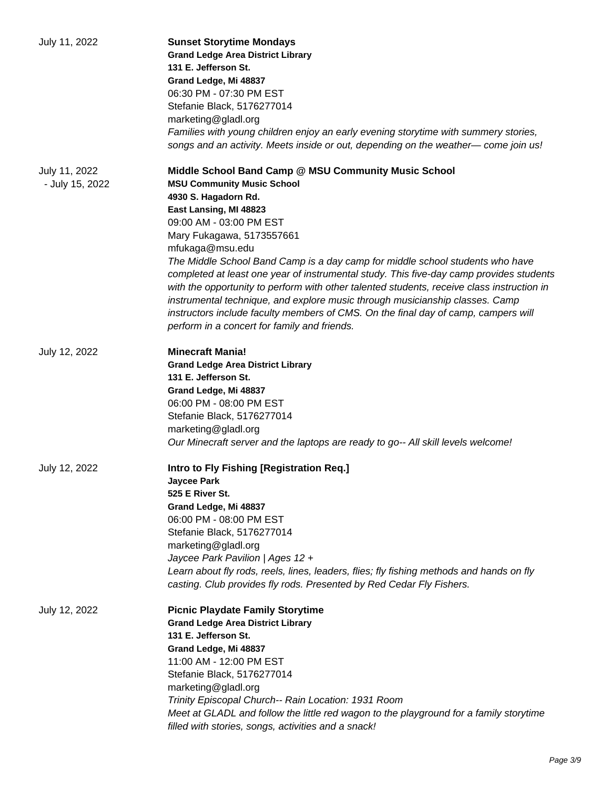| July 11, 2022                    | <b>Sunset Storytime Mondays</b><br><b>Grand Ledge Area District Library</b><br>131 E. Jefferson St.<br>Grand Ledge, Mi 48837<br>06:30 PM - 07:30 PM EST<br>Stefanie Black, 5176277014<br>marketing@gladl.org<br>Families with young children enjoy an early evening storytime with summery stories,<br>songs and an activity. Meets inside or out, depending on the weather—come join us!                                                                                                                                                                                                                                                                                                                              |
|----------------------------------|------------------------------------------------------------------------------------------------------------------------------------------------------------------------------------------------------------------------------------------------------------------------------------------------------------------------------------------------------------------------------------------------------------------------------------------------------------------------------------------------------------------------------------------------------------------------------------------------------------------------------------------------------------------------------------------------------------------------|
| July 11, 2022<br>- July 15, 2022 | Middle School Band Camp @ MSU Community Music School<br><b>MSU Community Music School</b><br>4930 S. Hagadorn Rd.<br>East Lansing, MI 48823<br>09:00 AM - 03:00 PM EST<br>Mary Fukagawa, 5173557661<br>mfukaga@msu.edu<br>The Middle School Band Camp is a day camp for middle school students who have<br>completed at least one year of instrumental study. This five-day camp provides students<br>with the opportunity to perform with other talented students, receive class instruction in<br>instrumental technique, and explore music through musicianship classes. Camp<br>instructors include faculty members of CMS. On the final day of camp, campers will<br>perform in a concert for family and friends. |
| July 12, 2022                    | <b>Minecraft Mania!</b><br><b>Grand Ledge Area District Library</b><br>131 E. Jefferson St.<br>Grand Ledge, Mi 48837<br>06:00 PM - 08:00 PM EST<br>Stefanie Black, 5176277014<br>marketing@gladl.org<br>Our Minecraft server and the laptops are ready to go-- All skill levels welcome!                                                                                                                                                                                                                                                                                                                                                                                                                               |
| July 12, 2022                    | Intro to Fly Fishing [Registration Req.]<br><b>Jaycee Park</b><br>525 E River St.<br>Grand Ledge, Mi 48837<br>06:00 PM - 08:00 PM EST<br>Stefanie Black, 5176277014<br>marketing@gladl.org<br>Jaycee Park Pavilion   Ages 12 +<br>Learn about fly rods, reels, lines, leaders, flies; fly fishing methods and hands on fly<br>casting. Club provides fly rods. Presented by Red Cedar Fly Fishers.                                                                                                                                                                                                                                                                                                                     |
| July 12, 2022                    | <b>Picnic Playdate Family Storytime</b><br><b>Grand Ledge Area District Library</b><br>131 E. Jefferson St.<br>Grand Ledge, Mi 48837<br>11:00 AM - 12:00 PM EST<br>Stefanie Black, 5176277014<br>marketing@gladl.org<br>Trinity Episcopal Church-- Rain Location: 1931 Room<br>Meet at GLADL and follow the little red wagon to the playground for a family storytime<br>filled with stories, songs, activities and a snack!                                                                                                                                                                                                                                                                                           |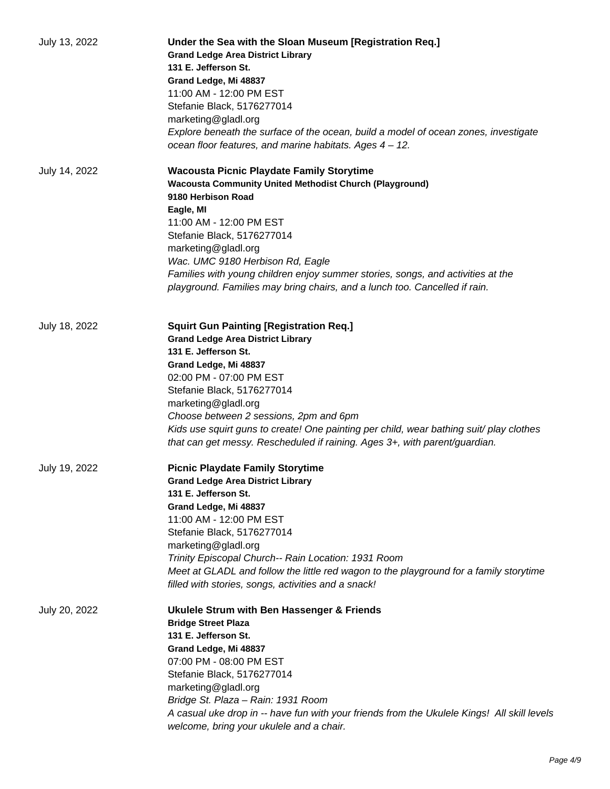| July 13, 2022 | Under the Sea with the Sloan Museum [Registration Req.]<br><b>Grand Ledge Area District Library</b><br>131 E. Jefferson St.<br>Grand Ledge, Mi 48837<br>11:00 AM - 12:00 PM EST<br>Stefanie Black, 5176277014<br>marketing@gladl.org<br>Explore beneath the surface of the ocean, build a model of ocean zones, investigate<br>ocean floor features, and marine habitats. Ages 4 - 12.                                                         |
|---------------|------------------------------------------------------------------------------------------------------------------------------------------------------------------------------------------------------------------------------------------------------------------------------------------------------------------------------------------------------------------------------------------------------------------------------------------------|
| July 14, 2022 | Wacousta Picnic Playdate Family Storytime<br><b>Wacousta Community United Methodist Church (Playground)</b><br>9180 Herbison Road<br>Eagle, MI<br>11:00 AM - 12:00 PM EST<br>Stefanie Black, 5176277014<br>marketing@gladl.org<br>Wac. UMC 9180 Herbison Rd, Eagle<br>Families with young children enjoy summer stories, songs, and activities at the<br>playground. Families may bring chairs, and a lunch too. Cancelled if rain.            |
| July 18, 2022 | <b>Squirt Gun Painting [Registration Req.]</b><br><b>Grand Ledge Area District Library</b><br>131 E. Jefferson St.<br>Grand Ledge, Mi 48837<br>02:00 PM - 07:00 PM EST<br>Stefanie Black, 5176277014<br>marketing@gladl.org<br>Choose between 2 sessions, 2pm and 6pm<br>Kids use squirt guns to create! One painting per child, wear bathing suit/ play clothes<br>that can get messy. Rescheduled if raining. Ages 3+, with parent/guardian. |
| July 19, 2022 | <b>Picnic Playdate Family Storytime</b><br><b>Grand Ledge Area District Library</b><br>131 E. Jefferson St.<br>Grand Ledge, Mi 48837<br>11:00 AM - 12:00 PM EST<br>Stefanie Black, 5176277014<br>marketing@gladl.org<br>Trinity Episcopal Church-- Rain Location: 1931 Room<br>Meet at GLADL and follow the little red wagon to the playground for a family storytime<br>filled with stories, songs, activities and a snack!                   |
| July 20, 2022 | Ukulele Strum with Ben Hassenger & Friends<br><b>Bridge Street Plaza</b><br>131 E. Jefferson St.<br>Grand Ledge, Mi 48837<br>07:00 PM - 08:00 PM EST<br>Stefanie Black, 5176277014<br>marketing@gladl.org<br>Bridge St. Plaza - Rain: 1931 Room<br>A casual uke drop in -- have fun with your friends from the Ukulele Kings! All skill levels<br>welcome, bring your ukulele and a chair.                                                     |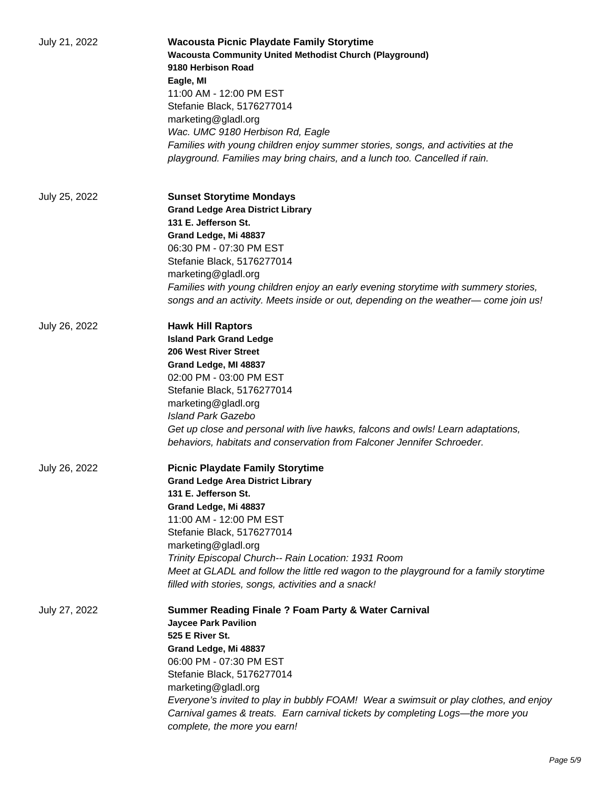| July 21, 2022 | <b>Wacousta Picnic Playdate Family Storytime</b><br><b>Wacousta Community United Methodist Church (Playground)</b><br>9180 Herbison Road<br>Eagle, MI<br>11:00 AM - 12:00 PM EST<br>Stefanie Black, 5176277014<br>marketing@gladl.org<br>Wac. UMC 9180 Herbison Rd, Eagle<br>Families with young children enjoy summer stories, songs, and activities at the<br>playground. Families may bring chairs, and a lunch too. Cancelled if rain. |
|---------------|--------------------------------------------------------------------------------------------------------------------------------------------------------------------------------------------------------------------------------------------------------------------------------------------------------------------------------------------------------------------------------------------------------------------------------------------|
| July 25, 2022 | <b>Sunset Storytime Mondays</b><br><b>Grand Ledge Area District Library</b><br>131 E. Jefferson St.<br>Grand Ledge, Mi 48837<br>06:30 PM - 07:30 PM EST<br>Stefanie Black, 5176277014<br>marketing@gladl.org<br>Families with young children enjoy an early evening storytime with summery stories,<br>songs and an activity. Meets inside or out, depending on the weather—come join us!                                                  |
| July 26, 2022 | <b>Hawk Hill Raptors</b><br><b>Island Park Grand Ledge</b><br>206 West River Street<br>Grand Ledge, MI 48837<br>02:00 PM - 03:00 PM EST<br>Stefanie Black, 5176277014<br>marketing@gladl.org<br>Island Park Gazebo<br>Get up close and personal with live hawks, falcons and owls! Learn adaptations,<br>behaviors, habitats and conservation from Falconer Jennifer Schroeder.                                                            |
| July 26, 2022 | <b>Picnic Playdate Family Storytime</b><br><b>Grand Ledge Area District Library</b><br>131 E. Jefferson St.<br>Grand Ledge, Mi 48837<br>11:00 AM - 12:00 PM EST<br>Stefanie Black, 5176277014<br>marketing@gladl.org<br>Trinity Episcopal Church-- Rain Location: 1931 Room<br>Meet at GLADL and follow the little red wagon to the playground for a family storytime<br>filled with stories, songs, activities and a snack!               |
| July 27, 2022 | <b>Summer Reading Finale ? Foam Party &amp; Water Carnival</b><br><b>Jaycee Park Pavilion</b><br>525 E River St.<br>Grand Ledge, Mi 48837<br>06:00 PM - 07:30 PM EST<br>Stefanie Black, 5176277014<br>marketing@gladl.org<br>Everyone's invited to play in bubbly FOAM! Wear a swimsuit or play clothes, and enjoy<br>Carnival games & treats. Earn carnival tickets by completing Logs—the more you<br>complete, the more you earn!       |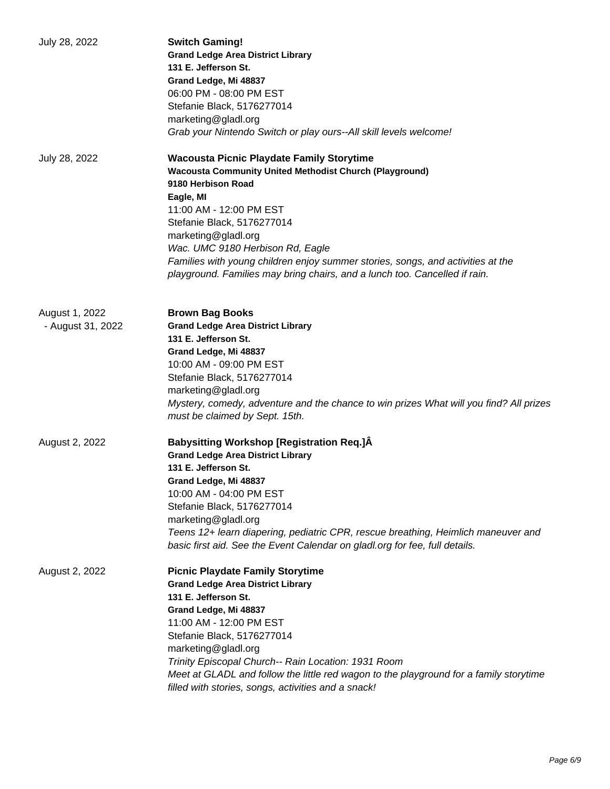| July 28, 2022                       | <b>Switch Gaming!</b><br><b>Grand Ledge Area District Library</b><br>131 E. Jefferson St.<br>Grand Ledge, Mi 48837<br>06:00 PM - 08:00 PM EST<br>Stefanie Black, 5176277014<br>marketing@gladl.org<br>Grab your Nintendo Switch or play ours--All skill levels welcome!                                                                                                                                                                    |
|-------------------------------------|--------------------------------------------------------------------------------------------------------------------------------------------------------------------------------------------------------------------------------------------------------------------------------------------------------------------------------------------------------------------------------------------------------------------------------------------|
| July 28, 2022                       | <b>Wacousta Picnic Playdate Family Storytime</b><br><b>Wacousta Community United Methodist Church (Playground)</b><br>9180 Herbison Road<br>Eagle, MI<br>11:00 AM - 12:00 PM EST<br>Stefanie Black, 5176277014<br>marketing@gladl.org<br>Wac. UMC 9180 Herbison Rd, Eagle<br>Families with young children enjoy summer stories, songs, and activities at the<br>playground. Families may bring chairs, and a lunch too. Cancelled if rain. |
| August 1, 2022<br>- August 31, 2022 | <b>Brown Bag Books</b><br><b>Grand Ledge Area District Library</b><br>131 E. Jefferson St.<br>Grand Ledge, Mi 48837<br>10:00 AM - 09:00 PM EST<br>Stefanie Black, 5176277014<br>marketing@gladl.org<br>Mystery, comedy, adventure and the chance to win prizes What will you find? All prizes<br>must be claimed by Sept. 15th.                                                                                                            |
| August 2, 2022                      | <b>Babysitting Workshop [Registration Req.]</b> A<br><b>Grand Ledge Area District Library</b><br>131 E. Jefferson St.<br>Grand Ledge, Mi 48837<br>10:00 AM - 04:00 PM EST<br>Stefanie Black, 5176277014<br>marketing@gladl.org<br>Teens 12+ learn diapering, pediatric CPR, rescue breathing, Heimlich maneuver and<br>basic first aid. See the Event Calendar on gladl.org for fee, full details.                                         |
| August 2, 2022                      | <b>Picnic Playdate Family Storytime</b><br><b>Grand Ledge Area District Library</b><br>131 E. Jefferson St.<br>Grand Ledge, Mi 48837<br>11:00 AM - 12:00 PM EST<br>Stefanie Black, 5176277014<br>marketing@gladl.org<br>Trinity Episcopal Church-- Rain Location: 1931 Room<br>Meet at GLADL and follow the little red wagon to the playground for a family storytime<br>filled with stories, songs, activities and a snack!               |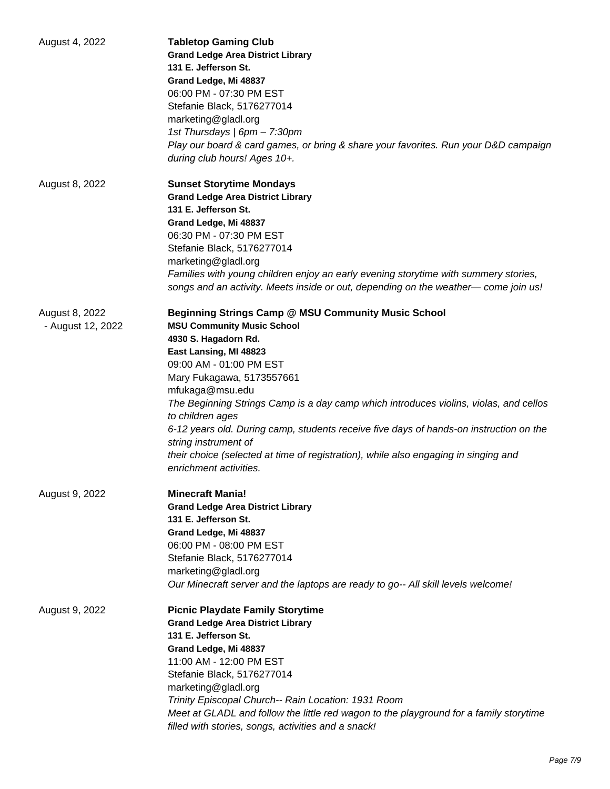| August 4, 2022                      | <b>Tabletop Gaming Club</b><br><b>Grand Ledge Area District Library</b><br>131 E. Jefferson St.<br>Grand Ledge, Mi 48837<br>06:00 PM - 07:30 PM EST<br>Stefanie Black, 5176277014<br>marketing@gladl.org<br>1st Thursdays   6pm - 7:30pm<br>Play our board & card games, or bring & share your favorites. Run your D&D campaign<br>during club hours! Ages 10+.                                                                                                                                                                                                              |
|-------------------------------------|------------------------------------------------------------------------------------------------------------------------------------------------------------------------------------------------------------------------------------------------------------------------------------------------------------------------------------------------------------------------------------------------------------------------------------------------------------------------------------------------------------------------------------------------------------------------------|
| August 8, 2022                      | <b>Sunset Storytime Mondays</b><br><b>Grand Ledge Area District Library</b><br>131 E. Jefferson St.<br>Grand Ledge, Mi 48837<br>06:30 PM - 07:30 PM EST<br>Stefanie Black, 5176277014<br>marketing@gladl.org<br>Families with young children enjoy an early evening storytime with summery stories,<br>songs and an activity. Meets inside or out, depending on the weather—come join us!                                                                                                                                                                                    |
| August 8, 2022<br>- August 12, 2022 | <b>Beginning Strings Camp @ MSU Community Music School</b><br><b>MSU Community Music School</b><br>4930 S. Hagadorn Rd.<br>East Lansing, MI 48823<br>09:00 AM - 01:00 PM EST<br>Mary Fukagawa, 5173557661<br>mfukaga@msu.edu<br>The Beginning Strings Camp is a day camp which introduces violins, violas, and cellos<br>to children ages<br>6-12 years old. During camp, students receive five days of hands-on instruction on the<br>string instrument of<br>their choice (selected at time of registration), while also engaging in singing and<br>enrichment activities. |
| August 9, 2022                      | <b>Minecraft Mania!</b><br><b>Grand Ledge Area District Library</b><br>131 E. Jefferson St.<br>Grand Ledge, Mi 48837<br>06:00 PM - 08:00 PM EST<br>Stefanie Black, 5176277014<br>marketing@gladl.org<br>Our Minecraft server and the laptops are ready to go-- All skill levels welcome!                                                                                                                                                                                                                                                                                     |
| August 9, 2022                      | <b>Picnic Playdate Family Storytime</b><br><b>Grand Ledge Area District Library</b><br>131 E. Jefferson St.<br>Grand Ledge, Mi 48837<br>11:00 AM - 12:00 PM EST<br>Stefanie Black, 5176277014<br>marketing@gladl.org<br>Trinity Episcopal Church-- Rain Location: 1931 Room<br>Meet at GLADL and follow the little red wagon to the playground for a family storytime<br>filled with stories, songs, activities and a snack!                                                                                                                                                 |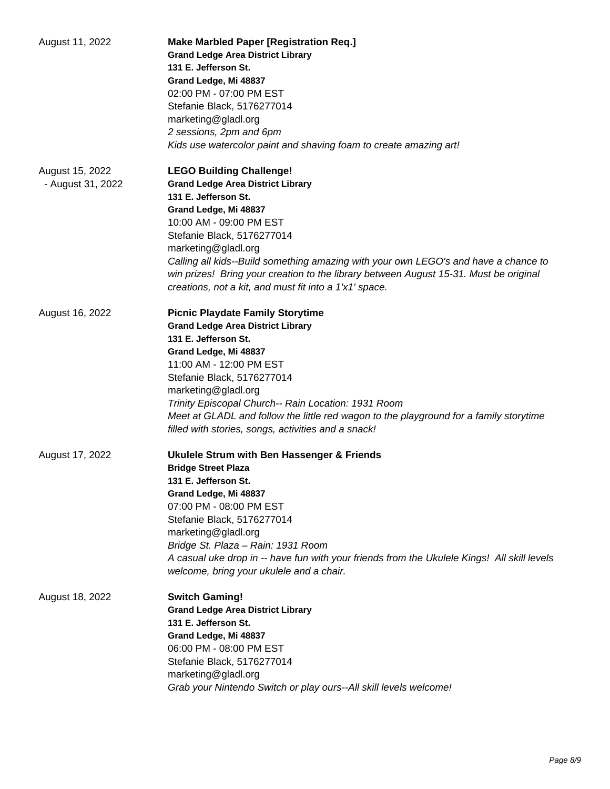| August 11, 2022                      | <b>Make Marbled Paper [Registration Req.]</b><br><b>Grand Ledge Area District Library</b><br>131 E. Jefferson St.<br>Grand Ledge, Mi 48837<br>02:00 PM - 07:00 PM EST<br>Stefanie Black, 5176277014<br>marketing@gladl.org<br>2 sessions, 2pm and 6pm<br>Kids use watercolor paint and shaving foam to create amazing art!                                                                                                                             |
|--------------------------------------|--------------------------------------------------------------------------------------------------------------------------------------------------------------------------------------------------------------------------------------------------------------------------------------------------------------------------------------------------------------------------------------------------------------------------------------------------------|
| August 15, 2022<br>- August 31, 2022 | <b>LEGO Building Challenge!</b><br><b>Grand Ledge Area District Library</b><br>131 E. Jefferson St.<br>Grand Ledge, Mi 48837<br>10:00 AM - 09:00 PM EST<br>Stefanie Black, 5176277014<br>marketing@gladl.org<br>Calling all kids--Build something amazing with your own LEGO's and have a chance to<br>win prizes! Bring your creation to the library between August 15-31. Must be original<br>creations, not a kit, and must fit into a 1'x1' space. |
| August 16, 2022                      | <b>Picnic Playdate Family Storytime</b><br><b>Grand Ledge Area District Library</b><br>131 E. Jefferson St.<br>Grand Ledge, Mi 48837<br>11:00 AM - 12:00 PM EST<br>Stefanie Black, 5176277014<br>marketing@gladl.org<br>Trinity Episcopal Church-- Rain Location: 1931 Room<br>Meet at GLADL and follow the little red wagon to the playground for a family storytime<br>filled with stories, songs, activities and a snack!                           |
| August 17, 2022                      | <b>Ukulele Strum with Ben Hassenger &amp; Friends</b><br><b>Bridge Street Plaza</b><br>131 E. Jefferson St.<br>Grand Ledge, Mi 48837<br>07:00 PM - 08:00 PM EST<br>Stefanie Black, 5176277014<br>marketing@gladl.org<br>Bridge St. Plaza - Rain: 1931 Room<br>A casual uke drop in -- have fun with your friends from the Ukulele Kings! All skill levels<br>welcome, bring your ukulele and a chair.                                                  |
| August 18, 2022                      | <b>Switch Gaming!</b><br><b>Grand Ledge Area District Library</b><br>131 E. Jefferson St.<br>Grand Ledge, Mi 48837<br>06:00 PM - 08:00 PM EST<br>Stefanie Black, 5176277014<br>marketing@gladl.org<br>Grab your Nintendo Switch or play ours--All skill levels welcome!                                                                                                                                                                                |